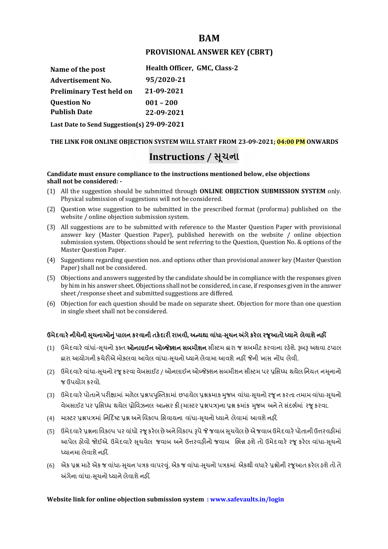## **BAM**

## **PROVISIONAL ANSWER KEY (CBRT)**

| Name of the post                           | Health Officer, GMC, Class-2 |
|--------------------------------------------|------------------------------|
| <b>Advertisement No.</b>                   | 95/2020-21                   |
| <b>Preliminary Test held on</b>            | 21-09-2021                   |
| <b>Question No</b>                         | $001 - 200$                  |
| <b>Publish Date</b>                        | 22-09-2021                   |
| Last Date to Send Suggestion(s) 29-09-2021 |                              |

**THE LINK FOR ONLINE OBJECTION SYSTEM WILL START FROM 23-09-2021; 04:00 PM ONWARDS**

# **Instructions / �ચના ૂ**

#### **Candidate must ensure compliance to the instructions mentioned below, else objections shall not be considered: -**

- (1) All the suggestion should be submitted through **ONLINE OBJECTION SUBMISSION SYSTEM** only. Physical submission of suggestions will not be considered.
- (2) Question wise suggestion to be submitted in the prescribed format (proforma) published on the website / online objection submission system.
- (3) All suggestions are to be submitted with reference to the Master Question Paper with provisional answer key (Master Question Paper), published herewith on the website / online objection submission system. Objections should be sent referring to the Question, Question No. & options of the Master Question Paper.
- (4) Suggestions regarding question nos. and options other than provisional answer key (Master Question Paper) shall not be considered.
- (5) Objections and answers suggested by the candidate should be in compliance with the responses given by him in his answer sheet. Objections shall not be considered, in case, if responses given in the answer sheet /response sheet and submitted suggestions are differed.
- (6) Objection for each question should be made on separate sheet. Objection for more than one question in single sheet shall not be considered.

## **ઉમેદવાર°નીચેની Ʌ ૂચનાઓȵુંપાલન કરવાની તક°દાર રાખવી, અƛયથા વા ંધા-Ʌ ૂચન Ӕગેકર°લ રȩૂઆતો ƚયાને લેવાશેનહӄ**

- (1) ઉમેદવારે વાંધાં-સુચનો ફક્ત **ઓનલાઈન ઓબ્જેક્શન સબમીશન** સીસ્ટમ હ્રારા જ સબમીટ કરવાના રહેશે. રૂબરૂ અથવા ટપાલ હ્રારા આયોગની કચેરીએ મોકલવા આવેલ વાંધા-સૂચનો ધ્યાને લેવામા આવશે નહીં જેની ખાસ નોંધ લેવી.
- (2) ઉમેદવારે વાંધા-સચનો રજ કરવા વેબસાઈટ / ઓનલાઈન ઓબ્જેક્શન સબમીશન સીસ્ટમ પર પ્રસિધ્ધ થયેલ નિયત નમનાનો જ ઉપયોગ કરવો.
- (3) ઉમેદવારે પોતાને પરીક્ષામાં મળેલ પ્રશ્નપપુસ્તિકામાં છપાયેલ પ્રશ્નક્રમાક મુજબ વાંધા-સૂચનો રજૂન કરતા તમામ વાંધા-સૂચનો વેબસાઈટ પર પ્રસિધ્ધ થયેલ પ્રોવિઝનલ આન્સર કી (માસ્ટર પ્રશ્નપત્ર)ના પ્રશ્ન ક્રમાંક મજબ અને તે સંદર્ભમાં ૨જ કરવા.
- (4) માસ્ટર પ્રશ્નપત્રમાં નિર્દિષ્ટ પ્રશ્ન અને વિકલ્પ સિવાયના વાંધા-સચનો ધ્યાને લેવામાં આવશે નહીં.
- (5) ઉમેદવારે પ્રશ્નના વિકલ્પ પર વાંધો રજૂ કરેલ છે અને વિકલ્પ રૂપે જે જવાબ સુચવેલ છે એ જવાબ ઉમેદવારે પોતાની ઉત્તરવહીમાં આપેલ હોવો જોઈએ. ઉમેદવારે સૂચવેલ જવાબ અને ઉત્તરવહીનો જવાબ ભિન્ન હશે તો ઉમેદવારે રજૂ કરેલ વાંધા-સૂચનો ધ્યાનમા લેવાશે નહીં.
- (6) એક પ્રશ્ન માટે એક જ વાંધા-સૂચન પત્રક વાપરવું. એક જ વાંધા-સૂચનો પત્રકમાં એકથી વધારે પ્રશ્નોની રજૂઆત કરેલ હશે તો તે અંગેના વાંધા-સુચનો ધ્યાને લેવાશે નહીં.

## **Website link for online objection submission system : www.safevaults.in/login**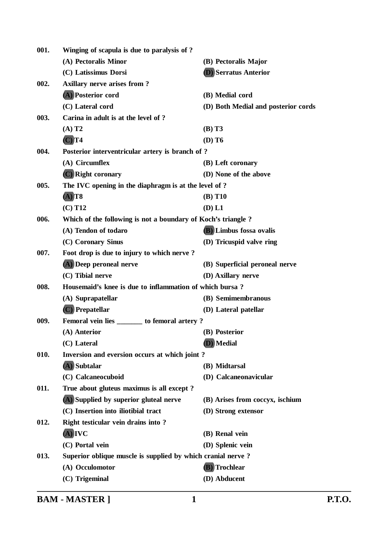| 001. | Winging of scapula is due to paralysis of ?                  |                                     |
|------|--------------------------------------------------------------|-------------------------------------|
|      | (A) Pectoralis Minor                                         | (B) Pectoralis Major                |
|      | (C) Latissimus Dorsi                                         | <b>(D)</b> Serratus Anterior        |
| 002. | <b>Axillary nerve arises from?</b>                           |                                     |
|      | (A) Posterior cord                                           | (B) Medial cord                     |
|      | (C) Lateral cord                                             | (D) Both Medial and posterior cords |
| 003. | Carina in adult is at the level of ?                         |                                     |
|      | $(A)$ T <sub>2</sub>                                         | (B) T3                              |
|      | $(C)$ T4                                                     | $(D)$ T <sub>6</sub>                |
| 004. | Posterior interventricular artery is branch of?              |                                     |
|      | (A) Circumflex                                               | (B) Left coronary                   |
|      | (C) Right coronary                                           | (D) None of the above               |
| 005. | The IVC opening in the diaphragm is at the level of?         |                                     |
|      | $(A)$ T8                                                     | (B) T10                             |
|      | $(C)$ T <sub>12</sub>                                        | (D) L1                              |
| 006. | Which of the following is not a boundary of Koch's triangle? |                                     |
|      | (A) Tendon of todaro                                         | (B) Limbus fossa ovalis             |
|      | (C) Coronary Sinus                                           | (D) Tricuspid valve ring            |
| 007. | Foot drop is due to injury to which nerve?                   |                                     |
|      | (A) Deep peroneal nerve                                      | (B) Superficial peroneal nerve      |
|      | (C) Tibial nerve                                             | (D) Axillary nerve                  |
| 008. | Housemaid's knee is due to inflammation of which bursa?      |                                     |
|      | (A) Suprapatellar                                            | (B) Semimembranous                  |
|      | (C) Prepatellar                                              | (D) Lateral patellar                |
| 009. | Femoral vein lies ________ to femoral artery?                |                                     |
|      | (A) Anterior                                                 | (B) Posterior                       |
|      | (C) Lateral                                                  | (D) Medial                          |
| 010. | Inversion and eversion occurs at which joint?                |                                     |
|      | $(A)$ Subtalar                                               | (B) Midtarsal                       |
|      | (C) Calcaneocuboid                                           | (D) Calcaneonavicular               |
| 011. | True about gluteus maximus is all except?                    |                                     |
|      | (A) Supplied by superior gluteal nerve                       | (B) Arises from coccyx, ischium     |
|      | (C) Insertion into iliotibial tract                          | (D) Strong extensor                 |
| 012. | Right testicular vein drains into?                           |                                     |
|      | (A) IVC                                                      | (B) Renal vein                      |
|      | (C) Portal vein                                              | (D) Splenic vein                    |
| 013. | Superior oblique muscle is supplied by which cranial nerve?  |                                     |
|      | (A) Occulomotor                                              | (B) Trochlear                       |
|      | (C) Trigeminal                                               | (D) Abducent                        |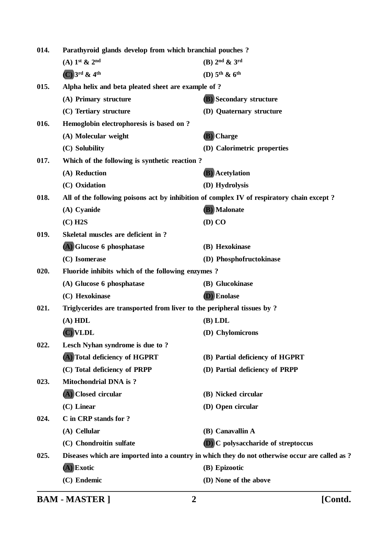| 014. | Parathyroid glands develop from which branchial pouches?                                  |                                                                                                 |
|------|-------------------------------------------------------------------------------------------|-------------------------------------------------------------------------------------------------|
|      | $(A)$ 1 <sup>st</sup> & 2 <sup>nd</sup>                                                   | $(B)$ 2 <sup>nd</sup> & 3 <sup>rd</sup>                                                         |
|      | $(C)$ 3rd & 4th                                                                           | (D) $5th$ & $6th$                                                                               |
| 015. | Alpha helix and beta pleated sheet are example of?                                        |                                                                                                 |
|      | (A) Primary structure                                                                     | <b>(B)</b> Secondary structure                                                                  |
|      | (C) Tertiary structure                                                                    | (D) Quaternary structure                                                                        |
| 016. | Hemoglobin electrophoresis is based on ?                                                  |                                                                                                 |
|      | (A) Molecular weight                                                                      | (B) Charge                                                                                      |
|      | (C) Solubility                                                                            | (D) Calorimetric properties                                                                     |
| 017. | Which of the following is synthetic reaction?                                             |                                                                                                 |
|      | (A) Reduction                                                                             | <b>(B)</b> Acetylation                                                                          |
|      | (C) Oxidation                                                                             | (D) Hydrolysis                                                                                  |
| 018. | All of the following poisons act by inhibition of complex IV of respiratory chain except? |                                                                                                 |
|      | (A) Cyanide                                                                               | (B) Malonate                                                                                    |
|      | $(C)$ H <sub>2</sub> S                                                                    | (D) CO                                                                                          |
| 019. | Skeletal muscles are deficient in?                                                        |                                                                                                 |
|      | (A) Glucose 6 phosphatase                                                                 | (B) Hexokinase                                                                                  |
|      | (C) Isomerase                                                                             | (D) Phosphofructokinase                                                                         |
| 020. | Fluoride inhibits which of the following enzymes?                                         |                                                                                                 |
|      | (A) Glucose 6 phosphatase                                                                 | (B) Glucokinase                                                                                 |
|      | (C) Hexokinase                                                                            | (D) Enolase                                                                                     |
| 021. | Triglycerides are transported from liver to the peripheral tissues by?                    |                                                                                                 |
|      | (A) HDL                                                                                   | $(B)$ LDL                                                                                       |
|      | (C) VLDL                                                                                  | (D) Chylomicrons                                                                                |
| 022. | Lesch Nyhan syndrome is due to ?                                                          |                                                                                                 |
|      | (A) Total deficiency of HGPRT                                                             | (B) Partial deficiency of HGPRT                                                                 |
|      | (C) Total deficiency of PRPP<br><b>Mitochondrial DNA</b> is ?                             | (D) Partial deficiency of PRPP                                                                  |
| 023. | (A) Closed circular                                                                       |                                                                                                 |
|      | $(C)$ Linear                                                                              | (B) Nicked circular                                                                             |
| 024. | C in CRP stands for ?                                                                     | (D) Open circular                                                                               |
|      | (A) Cellular                                                                              | (B) Canavallin A                                                                                |
|      | (C) Chondroitin sulfate                                                                   | <b>D</b> ) C polysaccharide of streptoccus                                                      |
| 025. |                                                                                           | Diseases which are imported into a country in which they do not otherwise occur are called as ? |
|      | $(A)$ Exotic                                                                              | (B) Epizootic                                                                                   |
|      | (C) Endemic                                                                               | (D) None of the above                                                                           |
|      |                                                                                           |                                                                                                 |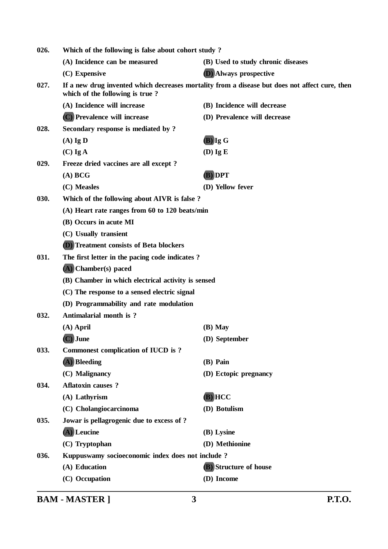| 026. | Which of the following is false about cohort study? |                                                                                                |  |
|------|-----------------------------------------------------|------------------------------------------------------------------------------------------------|--|
|      | (A) Incidence can be measured                       | (B) Used to study chronic diseases                                                             |  |
|      | (C) Expensive                                       | <b>(D)</b> Always prospective                                                                  |  |
| 027. | which of the following is true?                     | If a new drug invented which decreases mortality from a disease but does not affect cure, then |  |
|      | (A) Incidence will increase                         | (B) Incidence will decrease                                                                    |  |
|      | (C) Prevalence will increase                        | (D) Prevalence will decrease                                                                   |  |
| 028. | Secondary response is mediated by ?                 |                                                                                                |  |
|      | $(A)$ Ig D                                          | $(B)$ Ig G                                                                                     |  |
|      | $(C)$ Ig A                                          | $(D)$ Ig E                                                                                     |  |
| 029. | Freeze dried vaccines are all except?               |                                                                                                |  |
|      | (A) BCG                                             | (B) DPT                                                                                        |  |
|      | (C) Measles                                         | (D) Yellow fever                                                                               |  |
| 030. | Which of the following about AIVR is false?         |                                                                                                |  |
|      | (A) Heart rate ranges from 60 to 120 beats/min      |                                                                                                |  |
|      | (B) Occurs in acute MI                              |                                                                                                |  |
|      | (C) Usually transient                               |                                                                                                |  |
|      | <b>D</b> ) Treatment consists of Beta blockers      |                                                                                                |  |
| 031. | The first letter in the pacing code indicates?      |                                                                                                |  |
|      | (A) Chamber(s) paced                                |                                                                                                |  |
|      | (B) Chamber in which electrical activity is sensed  |                                                                                                |  |
|      | (C) The response to a sensed electric signal        |                                                                                                |  |
|      | (D) Programmability and rate modulation             |                                                                                                |  |
| 032. | Antimalarial month is ?                             |                                                                                                |  |
|      | $(A)$ April                                         | $(B)$ May                                                                                      |  |
|      | (C) June                                            | (D) September                                                                                  |  |
| 033. | <b>Commonest complication of IUCD is?</b>           |                                                                                                |  |
|      | $(A)$ Bleeding                                      | (B) Pain                                                                                       |  |
|      | (C) Malignancy                                      | (D) Ectopic pregnancy                                                                          |  |
| 034. | <b>Aflatoxin causes?</b>                            |                                                                                                |  |
|      | (A) Lathyrism                                       | $(B)$ HCC                                                                                      |  |
|      | (C) Cholangiocarcinoma                              | (D) Botulism                                                                                   |  |
| 035. | Jowar is pellagrogenic due to excess of ?           |                                                                                                |  |
|      | $(A)$ Leucine                                       | (B) Lysine                                                                                     |  |
|      | (C) Tryptophan                                      | (D) Methionine                                                                                 |  |
| 036. | Kuppuswamy socioeconomic index does not include?    |                                                                                                |  |
|      | (A) Education                                       | <b>(B)</b> Structure of house                                                                  |  |
|      | (C) Occupation                                      | (D) Income                                                                                     |  |
|      |                                                     |                                                                                                |  |

**BAM - MASTER ] 3 P.T.O.**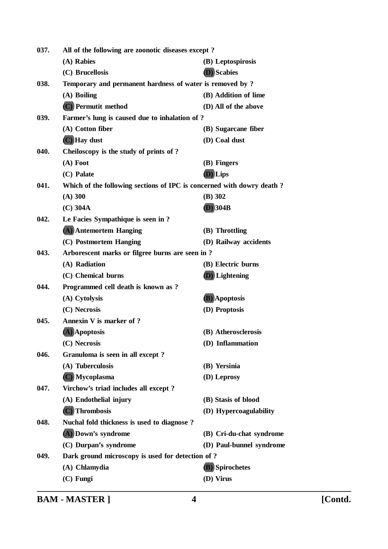| 037. | All of the following are zoonotic diseases except?                    |                          |
|------|-----------------------------------------------------------------------|--------------------------|
|      | (A) Rabies                                                            | (B) Leptospirosis        |
|      | (C) Brucellosis                                                       | (D) Scabies              |
| 038. | Temporary and permanent hardness of water is removed by ?             |                          |
|      | (A) Boiling                                                           | (B) Addition of lime     |
|      | (C) Permutit method                                                   | (D) All of the above     |
| 039. | Farmer's lung is caused due to inhalation of ?                        |                          |
|      | (A) Cotton fiber                                                      | (B) Sugarcane fiber      |
|      | (C) Hay dust                                                          | (D) Coal dust            |
| 040. | Cheiloscopy is the study of prints of ?                               |                          |
|      | $(A)$ Foot                                                            | (B) Fingers              |
|      | (C) Palate                                                            | (D) Lips                 |
| 041. | Which of the following sections of IPC is concerned with dowry death? |                          |
|      | $(A)$ 300                                                             | (B) 302                  |
|      | $(C)$ 304A                                                            | <b>(D)</b> 304B          |
| 042. | Le Facies Sympathique is seen in ?                                    |                          |
|      | (A) Antemortem Hanging                                                | (B) Throttling           |
|      | (C) Postmortem Hanging                                                | (D) Railway accidents    |
| 043. | Arborescent marks or filgree burns are seen in?                       |                          |
|      | (A) Radiation                                                         | (B) Electric burns       |
|      | (C) Chemical burns                                                    | <b>(D)</b> Lightening    |
| 044. | Programmed cell death is known as ?                                   |                          |
|      | (A) Cytolysis                                                         | (B) Apoptosis            |
|      | (C) Necrosis                                                          | (D) Proptosis            |
| 045. | Annexin V is marker of ?                                              |                          |
|      | (A) Apoptosis                                                         | (B) Atherosclerosis      |
|      | (C) Necrosis                                                          | (D) Inflammation         |
| 046. | Granuloma is seen in all except?                                      |                          |
|      | (A) Tuberculosis                                                      | (B) Yersinia             |
|      | (C) Mycoplasma                                                        | (D) Leprosy              |
| 047. | Virchow's triad includes all except?                                  |                          |
|      | (A) Endothelial injury                                                | (B) Stasis of blood      |
|      | (C) Thrombosis                                                        | (D) Hypercoagulability   |
| 048. | Nuchal fold thickness is used to diagnose?                            |                          |
|      | (A) Down's syndrome                                                   | (B) Cri-du-chat syndrome |
|      | (C) Durpan's syndrome                                                 | (D) Paul-bunnel syndrome |
| 049. | Dark ground microscopy is used for detection of?                      |                          |
|      | (A) Chlamydia                                                         | (B) Spirochetes          |
|      | (C) Fungi                                                             | (D) Virus                |

**BAM - MASTER ] 4 [Contd.**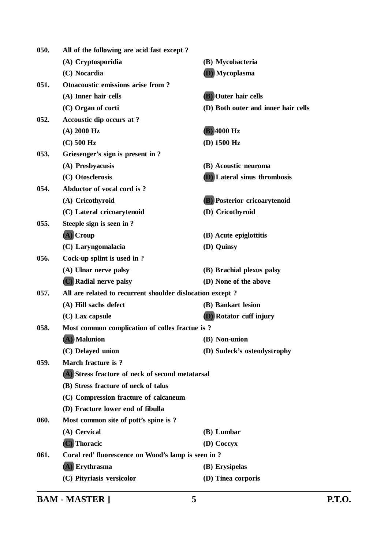| 050. | All of the following are acid fast except?                |                                     |
|------|-----------------------------------------------------------|-------------------------------------|
|      | (A) Cryptosporidia                                        | (B) Mycobacteria                    |
|      | (C) Nocardia                                              | (D) Mycoplasma                      |
| 051. | Otoacoustic emissions arise from?                         |                                     |
|      | (A) Inner hair cells                                      | <b>(B)</b> Outer hair cells         |
|      | (C) Organ of corti                                        | (D) Both outer and inner hair cells |
| 052. | Accoustic dip occurs at ?                                 |                                     |
|      | $(A)$ 2000 Hz                                             | $(B)$ 4000 Hz                       |
|      | $(C)$ 500 Hz                                              | $(D)$ 1500 Hz                       |
| 053. | Griesenger's sign is present in ?                         |                                     |
|      | (A) Presbyacusis                                          | (B) Acoustic neuroma                |
|      | (C) Otosclerosis                                          | <b>D</b> ) Lateral sinus thrombosis |
| 054. | Abductor of vocal cord is?                                |                                     |
|      | (A) Cricothyroid                                          | <b>(B)</b> Posterior cricoarytenoid |
|      | (C) Lateral cricoarytenoid                                | (D) Cricothyroid                    |
| 055. | Steeple sign is seen in ?                                 |                                     |
|      | (A) Croup                                                 | (B) Acute epiglottitis              |
|      | (C) Laryngomalacia                                        | (D) Quinsy                          |
| 056. | Cock-up splint is used in ?                               |                                     |
|      | (A) Ulnar nerve palsy                                     | (B) Brachial plexus palsy           |
|      | (C) Radial nerve palsy                                    | (D) None of the above               |
| 057. | All are related to recurrent shoulder dislocation except? |                                     |
|      | (A) Hill sachs defect                                     | (B) Bankart lesion                  |
|      | (C) Lax capsule                                           | <b>(D)</b> Rotator cuff injury      |
| 058. | Most common complication of colles fractue is?            |                                     |
|      | (A) Malunion                                              | (B) Non-union                       |
|      | (C) Delayed union                                         | (D) Sudeck's osteodystrophy         |
| 059. | March fracture is ?                                       |                                     |
|      | (A) Stress fracture of neck of second metatarsal          |                                     |
|      | (B) Stress fracture of neck of talus                      |                                     |
|      | (C) Compression fracture of calcaneum                     |                                     |
|      | (D) Fracture lower end of fibulla                         |                                     |
| 060. | Most common site of pott's spine is?                      |                                     |
|      | (A) Cervical                                              | (B) Lumbar                          |
|      | (C) Thoracic                                              | (D) Coccyx                          |
| 061. | Coral red' fluorescence on Wood's lamp is seen in ?       |                                     |
|      | (A) Erythrasma                                            | (B) Erysipelas                      |
|      | (C) Pityriasis versicolor                                 | (D) Tinea corporis                  |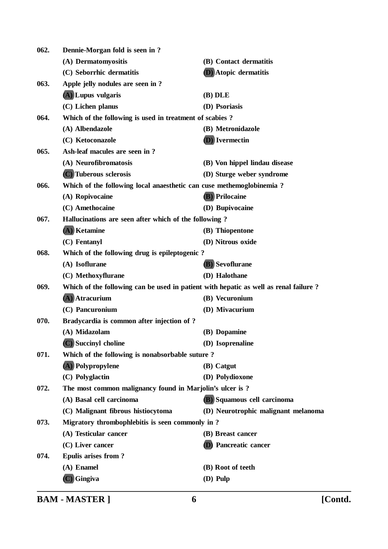| 062. | Dennie-Morgan fold is seen in?                                                       |                                     |
|------|--------------------------------------------------------------------------------------|-------------------------------------|
|      | (A) Dermatomyositis                                                                  | (B) Contact dermatitis              |
|      | (C) Seborrhic dermatitis                                                             | <b>D</b> ) Atopic dermatitis        |
| 063. | Apple jelly nodules are seen in?                                                     |                                     |
|      | (A) Lupus vulgaris                                                                   | $(B)$ DLE                           |
|      | (C) Lichen planus                                                                    | (D) Psoriasis                       |
| 064. | Which of the following is used in treatment of scabies?                              |                                     |
|      | (A) Albendazole                                                                      | (B) Metronidazole                   |
|      | (C) Ketoconazole                                                                     | (D) Ivermectin                      |
| 065. | Ash-leaf macules are seen in?                                                        |                                     |
|      | (A) Neurofibromatosis                                                                | (B) Von hippel lindau disease       |
|      | (C) Tuberous sclerosis                                                               | (D) Sturge weber syndrome           |
| 066. | Which of the following local anaesthetic can cuse methemoglobinemia?                 |                                     |
|      | (A) Ropivocaine                                                                      | <b>(B)</b> Prilocaine               |
|      | (C) Amethocaine                                                                      | (D) Bupivocaine                     |
| 067. | Hallucinations are seen after which of the following?                                |                                     |
|      | (A) Ketamine                                                                         | (B) Thiopentone                     |
|      | (C) Fentanyl                                                                         | (D) Nitrous oxide                   |
| 068. | Which of the following drug is epileptogenic?                                        |                                     |
|      | (A) Isoflurane                                                                       | (B) Sevoflurane                     |
|      | (C) Methoxyflurane                                                                   | (D) Halothane                       |
| 069. | Which of the following can be used in patient with hepatic as well as renal failure? |                                     |
|      | (A) Atracurium                                                                       | (B) Vecuronium                      |
|      | (C) Pancuronium                                                                      | (D) Mivacurium                      |
| 070. | Bradycardia is common after injection of ?                                           |                                     |
|      | (A) Midazolam                                                                        | (B) Dopamine                        |
|      | (C) Succinyl choline                                                                 | (D) Isoprenaline                    |
| 071. | Which of the following is nonabsorbable suture?                                      |                                     |
|      | (A) Polypropylene                                                                    | (B) Catgut                          |
|      | (C) Polyglactin                                                                      | (D) Polydioxone                     |
| 072. | The most common malignancy found in Marjolin's ulcer is ?                            |                                     |
|      | (A) Basal cell carcinoma                                                             | (B) Squamous cell carcinoma         |
|      | (C) Malignant fibrous histiocytoma                                                   | (D) Neurotrophic malignant melanoma |
| 073. | Migratory thrombophlebitis is seen commonly in?                                      |                                     |
|      | (A) Testicular cancer                                                                | (B) Breast cancer                   |
|      | $(C)$ Liver cancer                                                                   | <b>D</b> ) Pancreatic cancer        |
| 074. | <b>Epulis arises from?</b>                                                           |                                     |
|      | (A) Enamel                                                                           | (B) Root of teeth                   |
|      | $(C)$ Gingiva                                                                        | (D) Pulp                            |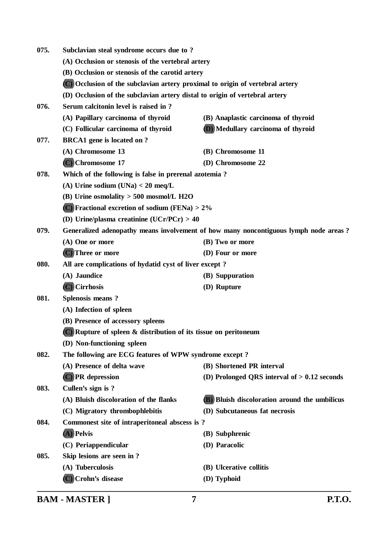| 075.                              | Subclavian steal syndrome occurs due to?                                      |                                                                                      |  |
|-----------------------------------|-------------------------------------------------------------------------------|--------------------------------------------------------------------------------------|--|
|                                   | (A) Occlusion or stenosis of the vertebral artery                             |                                                                                      |  |
|                                   | (B) Occlusion or stenosis of the carotid artery                               |                                                                                      |  |
|                                   | (C) Occlusion of the subclavian artery proximal to origin of vertebral artery |                                                                                      |  |
|                                   | (D) Occlusion of the subclavian artery distal to origin of vertebral artery   |                                                                                      |  |
| 076.                              | Serum calcitonin level is raised in ?                                         |                                                                                      |  |
|                                   | (A) Papillary carcinoma of thyroid                                            | (B) Anaplastic carcinoma of thyroid                                                  |  |
|                                   | (C) Follicular carcinoma of thyroid                                           | (D) Medullary carcinoma of thyroid                                                   |  |
| 077.                              | <b>BRCA1</b> gene is located on ?                                             |                                                                                      |  |
|                                   | (A) Chromosome 13                                                             | (B) Chromosome 11                                                                    |  |
|                                   | (C) Chromosome 17                                                             | (D) Chromosome 22                                                                    |  |
| 078.                              | Which of the following is false in prerenal azotemia?                         |                                                                                      |  |
|                                   | (A) Urine sodium $(UNa) < 20$ meq/L                                           |                                                                                      |  |
|                                   | (B) Urine osmolality $> 500$ mosmol/L H2O                                     |                                                                                      |  |
|                                   | $(C)$ Fractional excretion of sodium (FENa) > 2%                              |                                                                                      |  |
|                                   | (D) Urine/plasma creatinine (UCr/PCr) $> 40$                                  |                                                                                      |  |
| 079.                              |                                                                               | Generalized adenopathy means involvement of how many noncontiguous lymph node areas? |  |
|                                   | (A) One or more                                                               | (B) Two or more                                                                      |  |
|                                   | (C) Three or more                                                             | (D) Four or more                                                                     |  |
| 080.                              | All are complications of hydatid cyst of liver except?                        |                                                                                      |  |
|                                   | (A) Jaundice                                                                  | (B) Suppuration                                                                      |  |
|                                   | $(C)$ Cirrhosis                                                               | (D) Rupture                                                                          |  |
| 081.                              | Splenosis means?                                                              |                                                                                      |  |
|                                   | (A) Infection of spleen                                                       |                                                                                      |  |
| (B) Presence of accessory spleens |                                                                               |                                                                                      |  |
|                                   | $(C)$ Rupture of spleen $\&$ distribution of its tissue on peritoneum         |                                                                                      |  |
|                                   | (D) Non-functioning spleen                                                    |                                                                                      |  |
| 082.                              | The following are ECG features of WPW syndrome except?                        |                                                                                      |  |
|                                   | (A) Presence of delta wave                                                    | (B) Shortened PR interval                                                            |  |
|                                   | (C) PR depression                                                             | (D) Prolonged QRS interval of $> 0.12$ seconds                                       |  |
| 083.                              | Cullen's sign is ?                                                            |                                                                                      |  |
|                                   | (A) Bluish discoloration of the flanks                                        | <b>(B)</b> Bluish discoloration around the umbilicus                                 |  |
|                                   | (C) Migratory thrombophlebitis                                                | (D) Subcutaneous fat necrosis                                                        |  |
| 084.                              | Commonest site of intraperitoneal abscess is ?                                |                                                                                      |  |
|                                   | $(A)$ Pelvis                                                                  | (B) Subphrenic                                                                       |  |
|                                   | (C) Periappendicular                                                          | (D) Paracolic                                                                        |  |
| 085.                              | Skip lesions are seen in?                                                     |                                                                                      |  |
|                                   | (A) Tuberculosis                                                              | (B) Ulcerative collitis                                                              |  |
|                                   | (C) Crohn's disease                                                           | (D) Typhoid                                                                          |  |
|                                   |                                                                               |                                                                                      |  |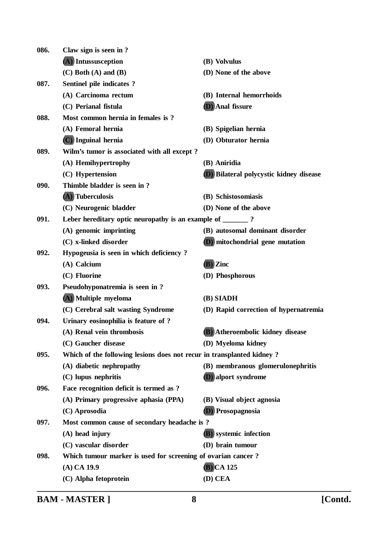| 086. | Claw sign is seen in?                                                 |                                                |
|------|-----------------------------------------------------------------------|------------------------------------------------|
|      | (A) Intussusception                                                   | (B) Volvulus                                   |
|      | $(C)$ Both $(A)$ and $(B)$                                            | (D) None of the above                          |
| 087. | Sentinel pile indicates ?                                             |                                                |
|      | (A) Carcinoma rectum                                                  | (B) Internal hemorrhoids                       |
|      | (C) Perianal fistula                                                  | (D) Anal fissure                               |
| 088. | Most common hernia in females is ?                                    |                                                |
|      | (A) Femoral hernia                                                    | (B) Spigelian hernia                           |
|      | (C) Inguinal hernia                                                   | (D) Obturator hernia                           |
| 089. | Wilm's tumor is associated with all except?                           |                                                |
|      | (A) Hemihypertrophy                                                   | (B) Aniridia                                   |
|      | (C) Hypertension                                                      | <b>D</b> ) Bilateral polycystic kidney disease |
| 090. | Thimble bladder is seen in?                                           |                                                |
|      | (A) Tuberculosis                                                      | (B) Schistosomiasis                            |
|      | (C) Neurogenic bladder                                                | (D) None of the above                          |
| 091. | Leber hereditary optic neuropathy is an example of ________?          |                                                |
|      | (A) genomic imprinting                                                | (B) autosomal dominant disorder                |
|      | (C) x-linked disorder                                                 | (D) mitochondrial gene mutation                |
| 092. | Hypogeusia is seen in which deficiency?                               |                                                |
|      | (A) Calcium                                                           | (B) Zinc                                       |
|      | (C) Fluorine                                                          | (D) Phosphorous                                |
| 093. | Pseudohyponatremia is seen in?                                        |                                                |
|      | (A) Multiple myeloma                                                  | (B) SIADH                                      |
|      | (C) Cerebral salt wasting Syndrome                                    | (D) Rapid correction of hypernatremia          |
| 094. | Urinary eosinophilia is feature of ?                                  |                                                |
|      | (A) Renal vein thrombosis                                             | (B) Atheroembolic kidney disease               |
|      | (C) Gaucher disease                                                   | (D) Myeloma kidney                             |
| 095. | Which of the following lesions does not recur in transplanted kidney? |                                                |
|      | (A) diabetic nephropathy                                              | (B) membranous glomerulonephritis              |
|      | (C) lupus nephritis                                                   | <b>D</b> ) alport syndrome                     |
| 096. | Face recognition deficit is termed as ?                               |                                                |
|      | (A) Primary progressive aphasia (PPA)                                 | (B) Visual object agnosia                      |
|      | (C) Aprosodia                                                         | Prosopagnosia                                  |
| 097. | Most common cause of secondary headache is?                           |                                                |
|      | $(A)$ head injury                                                     | <b>(B)</b> systemic infection                  |
|      | (C) vascular disorder                                                 | (D) brain tumour                               |
| 098. | Which tumour marker is used for screening of ovarian cancer?          |                                                |
|      | $(A)$ CA 19.9                                                         | $(B)$ CA 125                                   |
|      | (C) Alpha fetoprotein                                                 | (D) CEA                                        |
|      |                                                                       |                                                |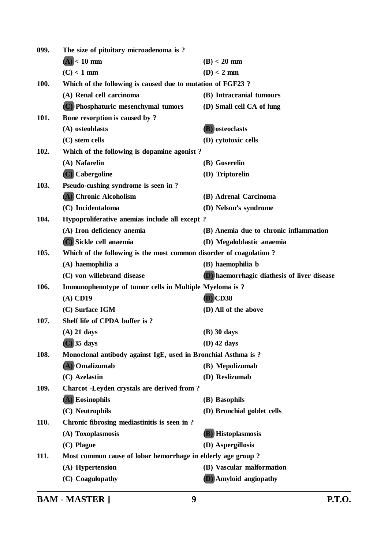| 099. | The size of pituitary microadenoma is?                             |                                             |
|------|--------------------------------------------------------------------|---------------------------------------------|
|      | $(A)$ < 10 mm                                                      | $(B) < 20$ mm                               |
|      | $(C) < 1$ mm                                                       | $(D) < 2$ mm                                |
| 100. | Which of the following is caused due to mutation of FGF23?         |                                             |
|      | (A) Renal cell carcinoma                                           | (B) Intracranial tumours                    |
|      | (C) Phosphaturic mesenchymal tumors                                | (D) Small cell CA of lung                   |
| 101. | Bone resorption is caused by ?                                     |                                             |
|      | (A) osteoblasts                                                    | (B) osteoclasts                             |
|      | $(C)$ stem cells                                                   | (D) cytotoxic cells                         |
| 102. | Which of the following is dopamine agonist?                        |                                             |
|      | (A) Nafarelin                                                      | (B) Goserelin                               |
|      | (C) Cabergoline                                                    | (D) Triptorelin                             |
| 103. | Pseudo-cushing syndrome is seen in?                                |                                             |
|      | (A) Chronic Alcoholism                                             | (B) Adrenal Carcinoma                       |
|      | (C) Incidentaloma                                                  | (D) Nelson's syndrome                       |
| 104. | Hypoproliferative anemias include all except?                      |                                             |
|      | (A) Iron deficiency anemia                                         | (B) Anemia due to chronic inflammation      |
|      | (C) Sickle cell anaemia                                            | (D) Megaloblastic anaemia                   |
| 105. | Which of the following is the most common disorder of coagulation? |                                             |
|      | (A) haemophilia a                                                  | (B) haemophilia b                           |
|      | (C) von willebrand disease                                         | (D) haemorrhagic diathesis of liver disease |
| 106. | Immunophenotype of tumor cells in Multiple Myeloma is?             |                                             |
|      | $(A)$ CD19                                                         | $(B)$ CD38                                  |
|      | (C) Surface IGM                                                    | (D) All of the above                        |
| 107. | Shelf life of CPDA buffer is?                                      |                                             |
|      | $(A)$ 21 days                                                      | $(B)$ 30 days                               |
|      | $(C)$ 35 days                                                      | $(D)$ 42 days                               |
| 108. | Monoclonal antibody against IgE, used in Bronchial Asthma is ?     |                                             |
|      | (A) Omalizumab                                                     | (B) Mepolizumab                             |
|      | (C) Azelastin                                                      | (D) Reslizumab                              |
| 109. | Charcot -Leyden crystals are derived from?                         |                                             |
|      | (A) Eosinophils                                                    | (B) Basophils                               |
|      | (C) Neutrophils                                                    | (D) Bronchial goblet cells                  |
| 110. | Chronic fibrosing mediastinitis is seen in?                        |                                             |
|      | (A) Toxoplasmosis                                                  | (B) Histoplasmosis                          |
|      | (C) Plague                                                         | (D) Aspergillosis                           |
| 111. | Most common cause of lobar hemorrhage in elderly age group?        |                                             |
|      | (A) Hypertension                                                   | (B) Vascular malformation                   |
|      | (C) Coagulopathy                                                   | (D) Amyloid angiopathy                      |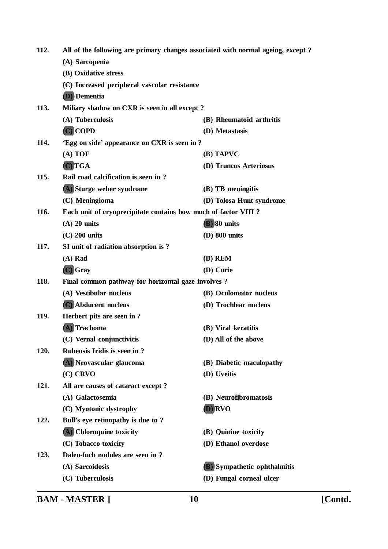| 112. | All of the following are primary changes associated with normal ageing, except? |                                     |  |
|------|---------------------------------------------------------------------------------|-------------------------------------|--|
|      | (A) Sarcopenia                                                                  |                                     |  |
|      | (B) Oxidative stress                                                            |                                     |  |
|      | (C) Increased peripheral vascular resistance                                    |                                     |  |
|      | <b>(D)</b> Dementia                                                             |                                     |  |
| 113. | Miliary shadow on CXR is seen in all except?                                    |                                     |  |
|      | (A) Tuberculosis                                                                | (B) Rheumatoid arthritis            |  |
|      | $(C)$ COPD                                                                      | (D) Metastasis                      |  |
| 114. | 'Egg on side' appearance on CXR is seen in ?                                    |                                     |  |
|      | (A) TOF                                                                         | (B) TAPVC                           |  |
|      | $(C)$ TGA                                                                       | (D) Truncus Arteriosus              |  |
| 115. | Rail road calcification is seen in?                                             |                                     |  |
|      | (A) Sturge weber syndrome                                                       | (B) TB meningitis                   |  |
|      | (C) Meningioma                                                                  | (D) Tolosa Hunt syndrome            |  |
| 116. | Each unit of cryoprecipitate contains how much of factor VIII ?                 |                                     |  |
|      | $(A)$ 20 units                                                                  | (B) 80 units                        |  |
|      | $(C)$ 200 units                                                                 | (D) 800 units                       |  |
| 117. | SI unit of radiation absorption is ?                                            |                                     |  |
|      | $(A)$ Rad                                                                       | $(B)$ REM                           |  |
|      | $(C)$ Gray                                                                      | (D) Curie                           |  |
| 118. | Final common pathway for horizontal gaze involves?                              |                                     |  |
|      | (A) Vestibular nucleus                                                          | (B) Oculomotor nucleus              |  |
|      | (C) Abducent nucleus                                                            | (D) Trochlear nucleus               |  |
| 119. | Herbert pits are seen in?                                                       |                                     |  |
|      | (A) Trachoma                                                                    | (B) Viral keratitis                 |  |
|      | (C) Vernal conjunctivitis                                                       | (D) All of the above                |  |
| 120. | Rubeosis Iridis is seen in?                                                     |                                     |  |
|      | (A) Neovascular glaucoma                                                        | (B) Diabetic maculopathy            |  |
|      | $(C)$ CRVO                                                                      | (D) Uveitis                         |  |
| 121. | All are causes of cataract except?                                              |                                     |  |
|      | (A) Galactosemia                                                                | (B) Neurofibromatosis               |  |
|      | (C) Myotonic dystrophy                                                          | <b>D</b> ) RVO                      |  |
| 122. | Bull's eye retinopathy is due to ?                                              |                                     |  |
|      | (A) Chloroquine toxicity                                                        | (B) Quinine toxicity                |  |
|      | (C) Tobacco toxicity                                                            | (D) Ethanol overdose                |  |
| 123. | Dalen-fuch nodules are seen in?                                                 |                                     |  |
|      | (A) Sarcoidosis                                                                 | <b>(B)</b> Sympathetic ophthalmitis |  |
|      | (C) Tuberculosis                                                                | (D) Fungal corneal ulcer            |  |
|      |                                                                                 |                                     |  |

**BAM - MASTER ] 10 [Contd.**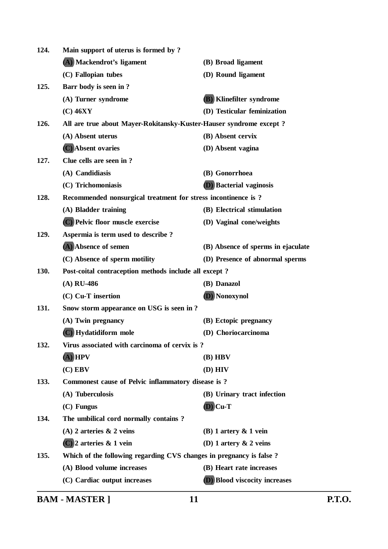| 124.        | Main support of uterus is formed by?                                |                                      |  |
|-------------|---------------------------------------------------------------------|--------------------------------------|--|
|             | (A) Mackendrot's ligament                                           | (B) Broad ligament                   |  |
|             | (C) Fallopian tubes                                                 | (D) Round ligament                   |  |
| 125.        | Barr body is seen in ?                                              |                                      |  |
|             | (A) Turner syndrome                                                 | (B) Klinefilter syndrome             |  |
|             | $(C)$ 46XY                                                          | (D) Testicular feminization          |  |
| 126.        | All are true about Mayer-Rokitansky-Kuster-Hauser syndrome except?  |                                      |  |
|             | (A) Absent uterus                                                   | (B) Absent cervix                    |  |
|             | (C) Absent ovaries                                                  | (D) Absent vagina                    |  |
| 127.        | Clue cells are seen in ?                                            |                                      |  |
|             | (A) Candidiasis                                                     | (B) Gonorrhoea                       |  |
|             | (C) Trichomoniasis                                                  | <b>D</b> ) Bacterial vaginosis       |  |
| 128.        | Recommended nonsurgical treatment for stress incontinence is ?      |                                      |  |
|             | (A) Bladder training                                                | (B) Electrical stimulation           |  |
|             | (C) Pelvic floor muscle exercise                                    | (D) Vaginal cone/weights             |  |
| 129.        | Aspermia is term used to describe?                                  |                                      |  |
|             | (A) Absence of semen                                                | (B) Absence of sperms in ejaculate   |  |
|             | (C) Absence of sperm motility                                       | (D) Presence of abnormal sperms      |  |
| 130.        | Post-coital contraception methods include all except?               |                                      |  |
|             | $(A)$ RU-486                                                        | (B) Danazol                          |  |
|             | $(C)$ Cu-T insertion                                                | (D) Nonoxynol                        |  |
| 131.        | Snow storm appearance on USG is seen in ?                           |                                      |  |
|             | (A) Twin pregnancy                                                  | (B) Ectopic pregnancy                |  |
|             | (C) Hydatidiform mole                                               | (D) Choriocarcinoma                  |  |
| 132.        | Virus associated with carcinoma of cervix is?                       |                                      |  |
|             | $(A)$ HPV                                                           | $(B)$ HBV                            |  |
|             | $(C)$ EBV                                                           | $(D)$ HIV                            |  |
| 133.        | Commonest cause of Pelvic inflammatory disease is?                  |                                      |  |
|             | (A) Tuberculosis                                                    | (B) Urinary tract infection          |  |
|             | (C) Fungus                                                          | $(D)$ Cu-T                           |  |
| 134.        | The umbilical cord normally contains?                               |                                      |  |
|             | (A) 2 arteries $\&$ 2 veins                                         | $(B)$ 1 artery $\&$ 1 vein           |  |
|             | $(C)$ 2 arteries & 1 vein                                           | (D) 1 artery $\&$ 2 veins            |  |
| <b>135.</b> | Which of the following regarding CVS changes in pregnancy is false? |                                      |  |
|             | (A) Blood volume increases                                          | (B) Heart rate increases             |  |
|             | (C) Cardiac output increases                                        | <b>D</b> ) Blood viscocity increases |  |
|             |                                                                     |                                      |  |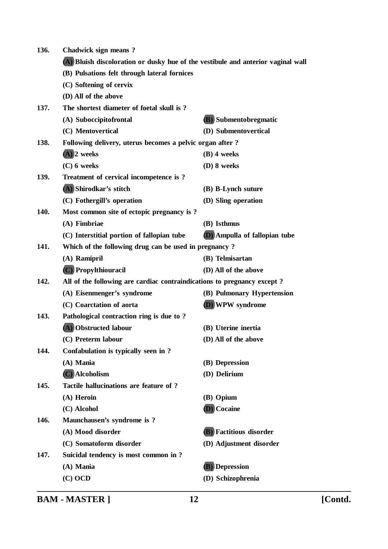| 136. | Chadwick sign means?                                                             |                                      |  |
|------|----------------------------------------------------------------------------------|--------------------------------------|--|
|      | (A) Bluish discoloration or dusky hue of the vestibule and anterior vaginal wall |                                      |  |
|      | (B) Pulsations felt through lateral fornices                                     |                                      |  |
|      | (C) Softening of cervix                                                          |                                      |  |
|      | (D) All of the above                                                             |                                      |  |
| 137. | The shortest diameter of foetal skull is?                                        |                                      |  |
|      | (A) Suboccipitofrontal                                                           | (B) Submentobregmatic                |  |
|      | (C) Mentovertical                                                                | (D) Submentovertical                 |  |
| 138. | Following delivery, uterus becomes a pelvic organ after?                         |                                      |  |
|      | $(A)$ 2 weeks                                                                    | $(B)$ 4 weeks                        |  |
|      | $(C)$ 6 weeks                                                                    | (D) 8 weeks                          |  |
| 139. | Treatment of cervical incompetence is?                                           |                                      |  |
|      | (A) Shirodkar's stitch                                                           | (B) B-Lynch suture                   |  |
|      | (C) Fothergill's operation                                                       | (D) Sling operation                  |  |
| 140. | Most common site of ectopic pregnancy is?                                        |                                      |  |
|      | (A) Fimbriae                                                                     | (B) Isthmus                          |  |
|      | (C) Interstitial portion of fallopian tube                                       | <b>(D)</b> Ampulla of fallopian tube |  |
| 141. | Which of the following drug can be used in pregnancy?                            |                                      |  |
|      | (A) Ramipril                                                                     | (B) Telmisartan                      |  |
|      | (C) Propylthiouracil                                                             | (D) All of the above                 |  |
| 142. | All of the following are cardiac contraindications to pregnancy except?          |                                      |  |
|      | (A) Eisenmenger's syndrome                                                       | (B) Pulmonary Hypertension           |  |
|      | (C) Coarctation of aorta                                                         | (D) WPW syndrome                     |  |
| 143. | Pathological contraction ring is due to?                                         |                                      |  |
|      | (A) Obstructed labour                                                            | (B) Uterine inertia                  |  |
|      | (C) Preterm labour                                                               | (D) All of the above                 |  |
| 144. | Confabulation is typically seen in?                                              |                                      |  |
|      | (A) Mania                                                                        | (B) Depression                       |  |
|      | (C) Alcoholism                                                                   | (D) Delirium                         |  |
| 145. | Tactile hallucinations are feature of ?                                          |                                      |  |
|      | (A) Heroin                                                                       | (B) Opium                            |  |
|      | (C) Alcohol                                                                      | (D) Cocaine                          |  |
| 146. | Maunchausen's syndrome is?                                                       |                                      |  |
|      | (A) Mood disorder                                                                | <b>(B)</b> Factitious disorder       |  |
|      | (C) Somatoform disorder                                                          | (D) Adjustment disorder              |  |
| 147. | Suicidal tendency is most common in ?                                            |                                      |  |
|      | $(A)$ Mania                                                                      | (B) Depression                       |  |
|      | $(C)$ OCD                                                                        | (D) Schizophrenia                    |  |
|      |                                                                                  |                                      |  |

**BAM - MASTER ] 12 [Contd.**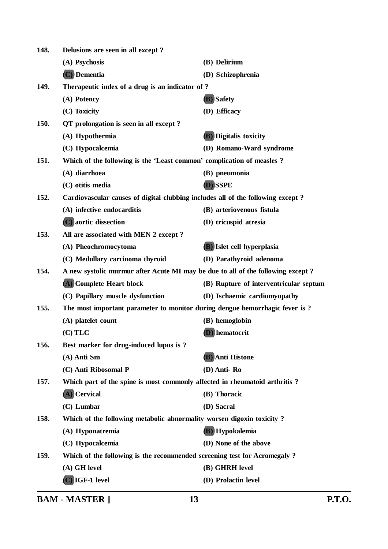| 148. | Delusions are seen in all except?                                               |                                        |
|------|---------------------------------------------------------------------------------|----------------------------------------|
|      | (A) Psychosis                                                                   | (B) Delirium                           |
|      | $(C)$ Dementia                                                                  | (D) Schizophrenia                      |
| 149. | Therapeutic index of a drug is an indicator of ?                                |                                        |
|      | (A) Potency                                                                     | (B) Safety                             |
|      | (C) Toxicity                                                                    | (D) Efficacy                           |
| 150. | QT prolongation is seen in all except?                                          |                                        |
|      | (A) Hypothermia                                                                 | <b>(B)</b> Digitalis toxicity          |
|      | (C) Hypocalcemia                                                                | (D) Romano-Ward syndrome               |
| 151. | Which of the following is the 'Least common' complication of measles?           |                                        |
|      | (A) diarrhoea                                                                   | (B) pneumonia                          |
|      | (C) otitis media                                                                | (D) SSPE                               |
| 152. | Cardiovascular causes of digital clubbing includes all of the following except? |                                        |
|      | (A) infective endocarditis                                                      | (B) arteriovenous fistula              |
|      | (C) aortic dissection                                                           | (D) tricuspid atresia                  |
| 153. | All are associated with MEN 2 except ?                                          |                                        |
|      | (A) Pheochromocytoma                                                            | <b>(B)</b> Islet cell hyperplasia      |
|      | (C) Medullary carcinoma thyroid                                                 | (D) Parathyroid adenoma                |
| 154. | A new systolic murmur after Acute MI may be due to all of the following except? |                                        |
|      | (A) Complete Heart block                                                        | (B) Rupture of interventricular septum |
|      | (C) Papillary muscle dysfunction                                                | (D) Ischaemic cardiomyopathy           |
| 155. | The most important parameter to monitor during dengue hemorrhagic fever is ?    |                                        |
|      | (A) platelet count                                                              | (B) hemoglobin                         |
|      | $(C)$ TLC                                                                       | (D) hematocrit                         |
| 156. | Best marker for drug-induced lupus is ?                                         |                                        |
|      | (A) Anti Sm                                                                     | (B) Anti Histone                       |
|      | (C) Anti Ribosomal P                                                            | (D) Anti-Ro                            |
| 157. | Which part of the spine is most commonly affected in rheumatoid arthritis?      |                                        |
|      | (A) Cervical                                                                    | (B) Thoracic                           |
|      | (C) Lumbar                                                                      | (D) Sacral                             |
| 158. | Which of the following metabolic abnormality worsen digoxin toxicity?           |                                        |
|      | (A) Hyponatremia                                                                | (B) Hypokalemia                        |
|      | (C) Hypocalcemia                                                                | (D) None of the above                  |
| 159. | Which of the following is the recommended screening test for Acromegaly?        |                                        |
|      | (A) GH level                                                                    | (B) GHRH level                         |
|      | $(C)$ IGF-1 level                                                               | (D) Prolactin level                    |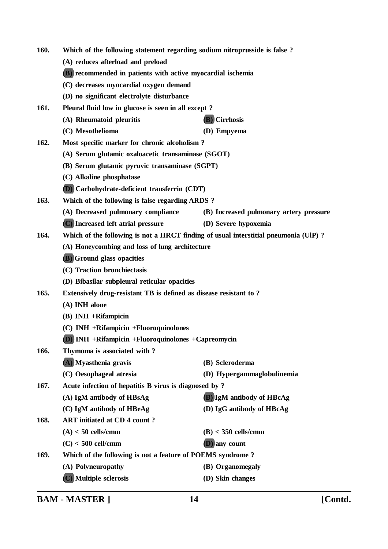| 160.                                                                                        | Which of the following statement regarding sodium nitroprusside is false? |                                         |
|---------------------------------------------------------------------------------------------|---------------------------------------------------------------------------|-----------------------------------------|
|                                                                                             | (A) reduces afterload and preload                                         |                                         |
|                                                                                             | (B) recommended in patients with active myocardial ischemia               |                                         |
|                                                                                             | (C) decreases myocardial oxygen demand                                    |                                         |
|                                                                                             | (D) no significant electrolyte disturbance                                |                                         |
| 161.                                                                                        | Pleural fluid low in glucose is seen in all except?                       |                                         |
|                                                                                             | (A) Rheumatoid pleuritis                                                  | (B) Cirrhosis                           |
|                                                                                             | (C) Mesothelioma                                                          | (D) Empyema                             |
| 162.                                                                                        | Most specific marker for chronic alcoholism?                              |                                         |
|                                                                                             | (A) Serum glutamic oxaloacetic transaminase (SGOT)                        |                                         |
|                                                                                             | (B) Serum glutamic pyruvic transaminase (SGPT)                            |                                         |
|                                                                                             | (C) Alkaline phosphatase                                                  |                                         |
|                                                                                             | (D) Carbohydrate-deficient transferrin (CDT)                              |                                         |
| 163.<br>Which of the following is false regarding ARDS?                                     |                                                                           |                                         |
|                                                                                             | (A) Decreased pulmonary compliance                                        | (B) Increased pulmonary artery pressure |
|                                                                                             | (C) Increased left atrial pressure                                        | (D) Severe hypoxemia                    |
| 164.<br>Which of the following is not a HRCT finding of usual interstitial pneumonia (UIP)? |                                                                           |                                         |
|                                                                                             | (A) Honeycombing and loss of lung architecture                            |                                         |
|                                                                                             | <b>(B)</b> Ground glass opacities                                         |                                         |
|                                                                                             | (C) Traction bronchiectasis                                               |                                         |
|                                                                                             | (D) Bibasilar subpleural reticular opacities                              |                                         |
| 165.                                                                                        | Extensively drug-resistant TB is defined as disease resistant to?         |                                         |
|                                                                                             | (A) INH alone                                                             |                                         |
|                                                                                             | $(B)$ INH +Rifampicin                                                     |                                         |
|                                                                                             | (C) INH + Rifampicin + Fluoroquinolones                                   |                                         |
|                                                                                             | <b>D</b> ) INH +Rifampicin +Fluoroquinolones +Capreomycin                 |                                         |
| 166.                                                                                        | Thymoma is associated with?                                               |                                         |
|                                                                                             | (A) Myasthenia gravis                                                     | (B) Scleroderma                         |
|                                                                                             | (C) Oesophageal atresia                                                   | (D) Hypergammaglobulinemia              |
| 167.                                                                                        | Acute infection of hepatitis B virus is diagnosed by?                     |                                         |
|                                                                                             | (A) IgM antibody of HBsAg                                                 | <b>(B)</b> IgM antibody of HBcAg        |
|                                                                                             | (C) IgM antibody of HBeAg                                                 | (D) IgG antibody of HBcAg               |
| 168.                                                                                        | ART initiated at CD 4 count?                                              |                                         |
|                                                                                             | $(A) < 50$ cells/cmm                                                      | $(B) < 350$ cells/cmm                   |
|                                                                                             | $(C)$ < 500 cell/cmm                                                      | <b>(D)</b> any count                    |
| 169.                                                                                        | Which of the following is not a feature of POEMS syndrome?                |                                         |
|                                                                                             | (A) Polyneuropathy                                                        | (B) Organomegaly                        |
|                                                                                             | (C) Multiple sclerosis                                                    | (D) Skin changes                        |
|                                                                                             |                                                                           |                                         |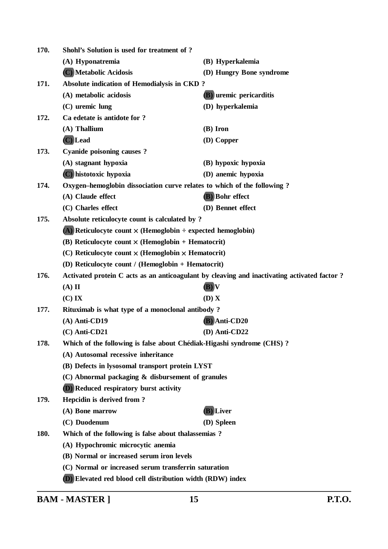| 170. | Shohl's Solution is used for treatment of ?                             |                                                                                             |  |
|------|-------------------------------------------------------------------------|---------------------------------------------------------------------------------------------|--|
|      | (A) Hyponatremia                                                        | (B) Hyperkalemia                                                                            |  |
|      | (C) Metabolic Acidosis                                                  | (D) Hungry Bone syndrome                                                                    |  |
| 171. | Absolute indication of Hemodialysis in CKD?                             |                                                                                             |  |
|      | (A) metabolic acidosis                                                  | <b>(B)</b> uremic pericarditis                                                              |  |
|      | $(C)$ uremic lung                                                       | (D) hyperkalemia                                                                            |  |
| 172. | Ca edetate is antidote for ?                                            |                                                                                             |  |
|      | $(A)$ Thallium                                                          | (B) Iron                                                                                    |  |
|      | (C) Lead                                                                | (D) Copper                                                                                  |  |
| 173. | <b>Cyanide poisoning causes?</b>                                        |                                                                                             |  |
|      | (A) stagnant hypoxia                                                    | (B) hypoxic hypoxia                                                                         |  |
|      | (C) histotoxic hypoxia                                                  | (D) anemic hypoxia                                                                          |  |
| 174. | Oxygen-hemoglobin dissociation curve relates to which of the following? |                                                                                             |  |
|      | (A) Claude effect                                                       | (B) Bohr effect                                                                             |  |
|      | (C) Charles effect                                                      | (D) Bennet effect                                                                           |  |
| 175. | Absolute reticulocyte count is calculated by ?                          |                                                                                             |  |
|      | (A) Reticulocyte count $\times$ (Hemoglobin $\div$ expected hemoglobin) |                                                                                             |  |
|      | (B) Reticulocyte count $\times$ (Hemoglobin + Hematocrit)               |                                                                                             |  |
|      | (C) Reticulocyte count $\times$ (Hemoglobin $\times$ Hematocrit)        |                                                                                             |  |
|      | (D) Reticulocyte count / (Hemoglobin + Hematocrit)                      |                                                                                             |  |
| 176. |                                                                         | Activated protein C acts as an anticoagulant by cleaving and inactivating activated factor? |  |
|      | $(A)$ II                                                                | $(B)$ $V$                                                                                   |  |
|      | $(C)$ IX                                                                | (D) X                                                                                       |  |
| 177. | Rituximab is what type of a monoclonal antibody?                        |                                                                                             |  |
|      | $(A)$ Anti-CD19                                                         | (B) Anti-CD20                                                                               |  |
|      | $(C)$ Anti-CD21                                                         | (D) Anti-CD22                                                                               |  |
| 178. | Which of the following is false about Chédiak-Higashi syndrome (CHS)?   |                                                                                             |  |
|      | (A) Autosomal recessive inheritance                                     |                                                                                             |  |
|      | (B) Defects in lysosomal transport protein LYST                         |                                                                                             |  |
|      | (C) Abnormal packaging & disbursement of granules                       |                                                                                             |  |
|      | <b>D</b> ) Reduced respiratory burst activity                           |                                                                                             |  |
| 179. | Hepcidin is derived from?                                               |                                                                                             |  |
|      | (A) Bone marrow                                                         | (B) Liver                                                                                   |  |
|      | (C) Duodenum                                                            | (D) Spleen                                                                                  |  |
| 180. | Which of the following is false about thalassemias?                     |                                                                                             |  |
|      | (A) Hypochromic microcytic anemia                                       |                                                                                             |  |
|      | (B) Normal or increased serum iron levels                               |                                                                                             |  |
|      | (C) Normal or increased serum transferrin saturation                    |                                                                                             |  |
|      | (D) Elevated red blood cell distribution width (RDW) index              |                                                                                             |  |

**BAM - MASTER ] 15 P.T.O.**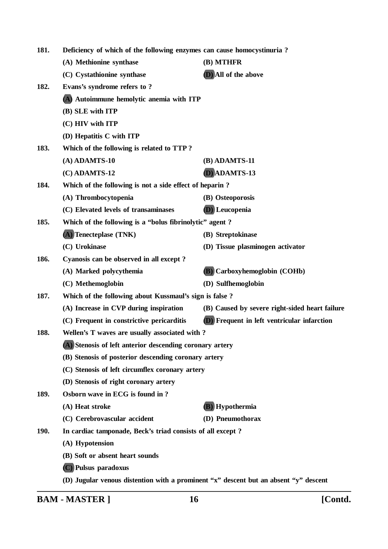| Deficiency of which of the following enzymes can cause homocystinuria?<br>181. |                                                            |                                                                                      |
|--------------------------------------------------------------------------------|------------------------------------------------------------|--------------------------------------------------------------------------------------|
|                                                                                | (A) Methionine synthase                                    | (B) MTHFR                                                                            |
|                                                                                | (C) Cystathionine synthase                                 | (D) All of the above                                                                 |
| 182.                                                                           | Evans's syndrome refers to?                                |                                                                                      |
|                                                                                | (A) Autoimmune hemolytic anemia with ITP                   |                                                                                      |
|                                                                                | (B) SLE with ITP                                           |                                                                                      |
|                                                                                | (C) HIV with ITP                                           |                                                                                      |
|                                                                                | (D) Hepatitis C with ITP                                   |                                                                                      |
| 183.                                                                           | Which of the following is related to TTP?                  |                                                                                      |
|                                                                                | $(A)$ ADAMTS-10                                            | (B) ADAMTS-11                                                                        |
|                                                                                | $(C)$ ADAMTS-12                                            | D) ADAMTS-13                                                                         |
| 184.                                                                           | Which of the following is not a side effect of heparin?    |                                                                                      |
|                                                                                | (A) Thrombocytopenia                                       | (B) Osteoporosis                                                                     |
|                                                                                | (C) Elevated levels of transaminases                       | (D) Leucopenia                                                                       |
| 185.<br>Which of the following is a "bolus fibrinolytic" agent?                |                                                            |                                                                                      |
|                                                                                | (A) Tenecteplase (TNK)                                     | (B) Streptokinase                                                                    |
|                                                                                | (C) Urokinase                                              | (D) Tissue plasminogen activator                                                     |
| 186.                                                                           | Cyanosis can be observed in all except?                    |                                                                                      |
|                                                                                | (A) Marked polycythemia                                    | (B) Carboxyhemoglobin (COHb)                                                         |
|                                                                                | (C) Methemoglobin                                          | (D) Sulfhemoglobin                                                                   |
| 187.                                                                           | Which of the following about Kussmaul's sign is false?     |                                                                                      |
|                                                                                | (A) Increase in CVP during inspiration                     | (B) Caused by severe right-sided heart failure                                       |
|                                                                                | (C) Frequent in constrictive pericarditis                  | <b>D</b> ) Frequent in left ventricular infarction                                   |
| 188.                                                                           | Wellen's T waves are usually associated with?              |                                                                                      |
|                                                                                | (A) Stenosis of left anterior descending coronary artery   |                                                                                      |
|                                                                                | (B) Stenosis of posterior descending coronary artery       |                                                                                      |
|                                                                                | (C) Stenosis of left circumflex coronary artery            |                                                                                      |
|                                                                                | (D) Stenosis of right coronary artery                      |                                                                                      |
| 189.                                                                           | Osborn wave in ECG is found in ?                           |                                                                                      |
|                                                                                | (A) Heat stroke                                            | (B) Hypothermia                                                                      |
|                                                                                | (C) Cerebrovascular accident                               | (D) Pneumothorax                                                                     |
| <b>190.</b>                                                                    | In cardiac tamponade, Beck's triad consists of all except? |                                                                                      |
|                                                                                | (A) Hypotension                                            |                                                                                      |
|                                                                                | (B) Soft or absent heart sounds                            |                                                                                      |
|                                                                                | (C) Pulsus paradoxus                                       |                                                                                      |
|                                                                                |                                                            | (D) Jugular venous distention with a prominent "x" descent but an absent "y" descent |

**BAM - MASTER ] 16 [Contd.**